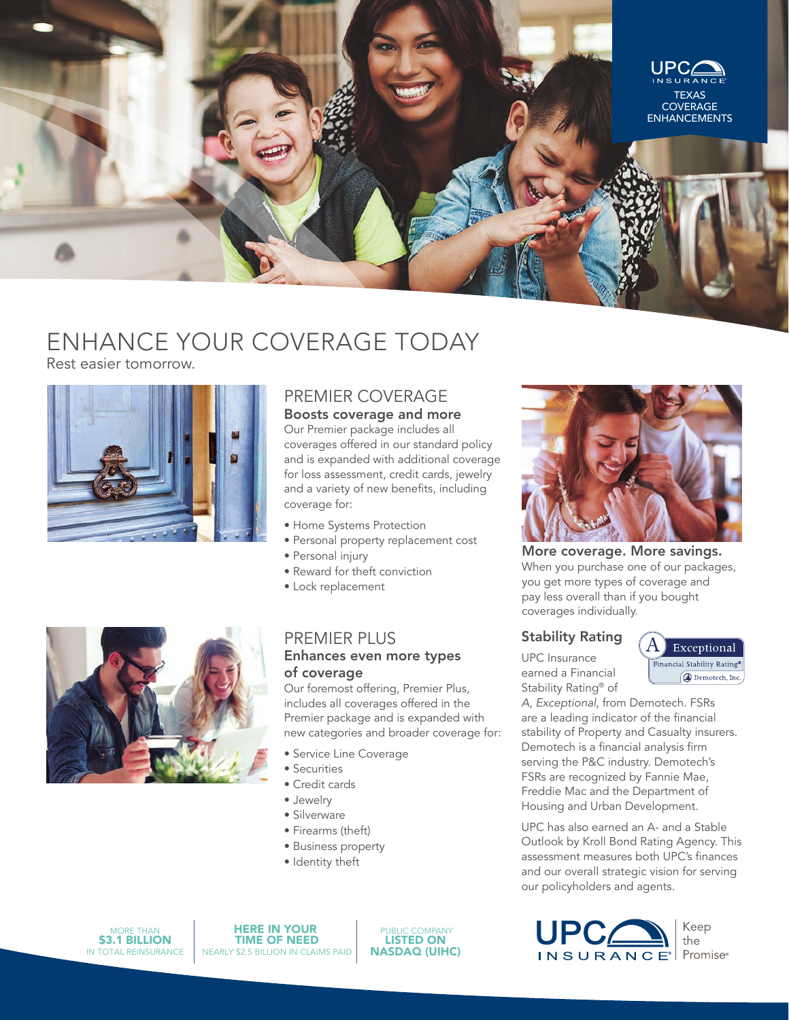

# ENHANCE YOUR COVERAGE TODAY

Rest easier tomorrow.



## PREMIER COVERAGE

Boosts coverage and more Our Premier package includes all coverages offered in our standard policy and is expanded with additional coverage for loss assessment, credit cards, jewelry and a variety of new benefits, including coverage for:

- Home Systems Protection
- Personal property replacement cost
- Personal injury
- Reward for theft conviction • Lock replacement
- 

#### PREMIER PLUS Enhances even more types of coverage

Our foremost offering, Premier Plus, includes all coverages offered in the Premier package and is expanded with new categories and broader coverage for:

- Service Line Coverage
- Securities
- Credit cards
- Jewelry
- Silverware
- Firearms (theft)
- Business property
- Identity theft



HERE IN YOUR TIME OF NEED NEARLY \$2.5 BILLION IN CLAIMS PAID

 PUBLIC COMPANY LISTED ON NASDAQ (UIHC)



More coverage. More savings. When you purchase one of our packages, you get more types of coverage and pay less overall than if you bought coverages individually.

#### Stability Rating

UPC Insurance earned a Financial Stability Rating® of

Exceptional Financial Stability Rating® **@** Demotech, Inc.

*A, Exceptional*, from Demotech. FSRs are a leading indicator of the financial stability of Property and Casualty insurers. Demotech is a financial analysis firm serving the P&C industry. Demotech's FSRs are recognized by Fannie Mae, Freddie Mac and the Department of Housing and Urban Development.

UPC has also earned an A- and a Stable Outlook by Kroll Bond Rating Agency. This assessment measures both UPC's finances and our overall strategic vision for serving our policyholders and agents.